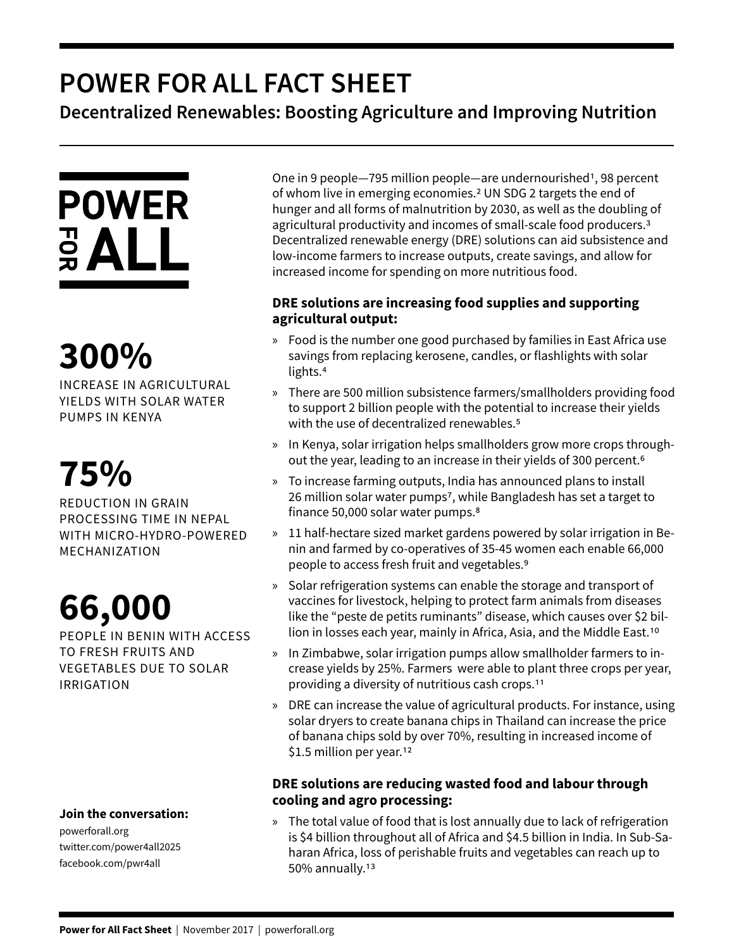## **POWER FOR ALL FACT SHEET**

**Decentralized Renewables: Boosting Agriculture and Improving Nutrition**



# **300%**

INCREASE IN AGRICULTURAL YIELDS WITH SOLAR WATER PUMPS IN KENYA

## **75%**

REDUCTION IN GRAIN PROCESSING TIME IN NEPAL WITH MICRO-HYDRO-POWERED MECHANIZATION

## **66,000**

PEOPLE IN BENIN WITH ACCESS TO FRESH FRUITS AND VEGETABLES DUE TO SOLAR IRRIGATION

#### **Join the conversation:**

powerforall.org twitter.com/power4all2025 facebook.com/pwr4all

One in 9 people-795 million people-are undernourished<sup>1</sup>, 98 percent of whom live in emerging economies.2 UN SDG 2 targets the end of hunger and all forms of malnutrition by 2030, as well as the doubling of agricultural productivity and incomes of small-scale food producers.3 Decentralized renewable energy (DRE) solutions can aid subsistence and low-income farmers to increase outputs, create savings, and allow for increased income for spending on more nutritious food.

### **DRE solutions are increasing food supplies and supporting agricultural output:**

- » Food is the number one good purchased by families in East Africa use savings from replacing kerosene, candles, or flashlights with solar lights.4
- » There are 500 million subsistence farmers/smallholders providing food to support 2 billion people with the potential to increase their yields with the use of decentralized renewables.<sup>5</sup>
- » In Kenya, solar irrigation helps smallholders grow more crops throughout the year, leading to an increase in their yields of 300 percent.6
- » To increase farming outputs, India has announced plans to install 26 million solar water pumps7, while Bangladesh has set a target to finance 50,000 solar water pumps.8
- » 11 half-hectare sized market gardens powered by solar irrigation in Benin and farmed by co-operatives of 35-45 women each enable 66,000 people to access fresh fruit and vegetables.9
- » Solar refrigeration systems can enable the storage and transport of vaccines for livestock, helping to protect farm animals from diseases like the "peste de petits ruminants" disease, which causes over \$2 billion in losses each year, mainly in Africa, Asia, and the Middle East.10
- » In Zimbabwe, solar irrigation pumps allow smallholder farmers to increase yields by 25%. Farmers were able to plant three crops per year, providing a diversity of nutritious cash crops.11
- » DRE can increase the value of agricultural products. For instance, using solar dryers to create banana chips in Thailand can increase the price of banana chips sold by over 70%, resulting in increased income of \$1.5 million per year.<sup>12</sup>

### **DRE solutions are reducing wasted food and labour through cooling and agro processing:**

» The total value of food that is lost annually due to lack of refrigeration is \$4 billion throughout all of Africa and \$4.5 billion in India. In Sub-Saharan Africa, loss of perishable fruits and vegetables can reach up to 50% annually.13